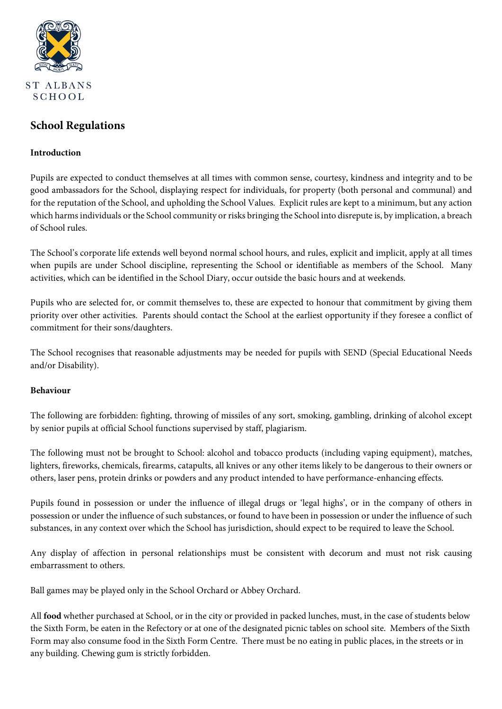

# **School Regulations**

# **Introduction**

Pupils are expected to conduct themselves at all times with common sense, courtesy, kindness and integrity and to be good ambassadors for the School, displaying respect for individuals, for property (both personal and communal) and for the reputation of the School, and upholding the School Values. Explicit rules are kept to a minimum, but any action which harms individuals or the School community or risks bringing the School into disrepute is, by implication, a breach of School rules.

The School's corporate life extends well beyond normal school hours, and rules, explicit and implicit, apply at all times when pupils are under School discipline, representing the School or identifiable as members of the School. Many activities, which can be identified in the School Diary, occur outside the basic hours and at weekends.

Pupils who are selected for, or commit themselves to, these are expected to honour that commitment by giving them priority over other activities. Parents should contact the School at the earliest opportunity if they foresee a conflict of commitment for their sons/daughters.

The School recognises that reasonable adjustments may be needed for pupils with SEND (Special Educational Needs and/or Disability).

#### **Behaviour**

The following are forbidden: fighting, throwing of missiles of any sort, smoking, gambling, drinking of alcohol except by senior pupils at official School functions supervised by staff, plagiarism.

The following must not be brought to School: alcohol and tobacco products (including vaping equipment), matches, lighters, fireworks, chemicals, firearms, catapults, all knives or any other items likely to be dangerous to their owners or others, laser pens, protein drinks or powders and any product intended to have performance-enhancing effects.

Pupils found in possession or under the influence of illegal drugs or 'legal highs', or in the company of others in possession or under the influence of such substances, or found to have been in possession or under the influence of such substances, in any context over which the School has jurisdiction, should expect to be required to leave the School.

Any display of affection in personal relationships must be consistent with decorum and must not risk causing embarrassment to others.

Ball games may be played only in the School Orchard or Abbey Orchard.

All **food** whether purchased at School, or in the city or provided in packed lunches, must, in the case of students below the Sixth Form, be eaten in the Refectory or at one of the designated picnic tables on school site. Members of the Sixth Form may also consume food in the Sixth Form Centre. There must be no eating in public places, in the streets or in any building. Chewing gum is strictly forbidden.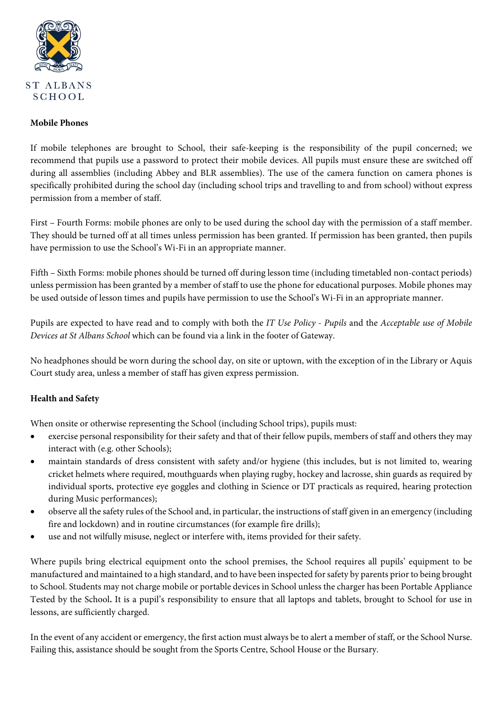

## **Mobile Phones**

If mobile telephones are brought to School, their safe-keeping is the responsibility of the pupil concerned; we recommend that pupils use a password to protect their mobile devices. All pupils must ensure these are switched off during all assemblies (including Abbey and BLR assemblies). The use of the camera function on camera phones is specifically prohibited during the school day (including school trips and travelling to and from school) without express permission from a member of staff.

First – Fourth Forms: mobile phones are only to be used during the school day with the permission of a staff member. They should be turned off at all times unless permission has been granted. If permission has been granted, then pupils have permission to use the School's Wi-Fi in an appropriate manner.

Fifth – Sixth Forms: mobile phones should be turned off during lesson time (including timetabled non-contact periods) unless permission has been granted by a member of staff to use the phone for educational purposes. Mobile phones may be used outside of lesson times and pupils have permission to use the School's Wi-Fi in an appropriate manner.

Pupils are expected to have read and to comply with both the *IT Use Policy - Pupils* and the *Acceptable use of Mobile Devices at St Albans School* which can be found via a link in the footer of Gateway.

No headphones should be worn during the school day, on site or uptown, with the exception of in the Library or Aquis Court study area, unless a member of staff has given express permission.

# **Health and Safety**

When onsite or otherwise representing the School (including School trips), pupils must:

- exercise personal responsibility for their safety and that of their fellow pupils, members of staff and others they may interact with (e.g. other Schools);
- maintain standards of dress consistent with safety and/or hygiene (this includes, but is not limited to, wearing cricket helmets where required, mouthguards when playing rugby, hockey and lacrosse, shin guards as required by individual sports, protective eye goggles and clothing in Science or DT practicals as required, hearing protection during Music performances);
- observe all the safety rules of the School and, in particular, the instructions of staff given in an emergency (including fire and lockdown) and in routine circumstances (for example fire drills);
- use and not wilfully misuse, neglect or interfere with, items provided for their safety.

Where pupils bring electrical equipment onto the school premises, the School requires all pupils' equipment to be manufactured and maintained to a high standard, and to have been inspected for safety by parents prior to being brought to School. Students may not charge mobile or portable devices in School unless the charger has been Portable Appliance Tested by the School**.** It is a pupil's responsibility to ensure that all laptops and tablets, brought to School for use in lessons, are sufficiently charged.

In the event of any accident or emergency, the first action must always be to alert a member of staff, or the School Nurse. Failing this, assistance should be sought from the Sports Centre, School House or the Bursary.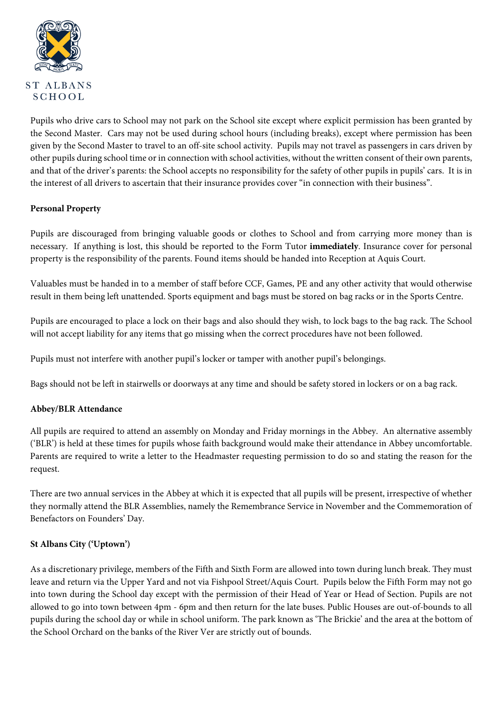

Pupils who drive cars to School may not park on the School site except where explicit permission has been granted by the Second Master. Cars may not be used during school hours (including breaks), except where permission has been given by the Second Master to travel to an off-site school activity. Pupils may not travel as passengers in cars driven by other pupils during school time or in connection with school activities, without the written consent of their own parents, and that of the driver's parents: the School accepts no responsibility for the safety of other pupils in pupils' cars. It is in the interest of all drivers to ascertain that their insurance provides cover "in connection with their business".

# **Personal Property**

Pupils are discouraged from bringing valuable goods or clothes to School and from carrying more money than is necessary. If anything is lost, this should be reported to the Form Tutor **immediately**. Insurance cover for personal property is the responsibility of the parents. Found items should be handed into Reception at Aquis Court.

Valuables must be handed in to a member of staff before CCF, Games, PE and any other activity that would otherwise result in them being left unattended. Sports equipment and bags must be stored on bag racks or in the Sports Centre.

Pupils are encouraged to place a lock on their bags and also should they wish, to lock bags to the bag rack. The School will not accept liability for any items that go missing when the correct procedures have not been followed.

Pupils must not interfere with another pupil's locker or tamper with another pupil's belongings.

Bags should not be left in stairwells or doorways at any time and should be safety stored in lockers or on a bag rack.

#### **Abbey/BLR Attendance**

All pupils are required to attend an assembly on Monday and Friday mornings in the Abbey. An alternative assembly ('BLR') is held at these times for pupils whose faith background would make their attendance in Abbey uncomfortable. Parents are required to write a letter to the Headmaster requesting permission to do so and stating the reason for the request.

There are two annual services in the Abbey at which it is expected that all pupils will be present, irrespective of whether they normally attend the BLR Assemblies, namely the Remembrance Service in November and the Commemoration of Benefactors on Founders' Day.

#### **St Albans City ('Uptown')**

As a discretionary privilege, members of the Fifth and Sixth Form are allowed into town during lunch break. They must leave and return via the Upper Yard and not via Fishpool Street/Aquis Court. Pupils below the Fifth Form may not go into town during the School day except with the permission of their Head of Year or Head of Section. Pupils are not allowed to go into town between 4pm - 6pm and then return for the late buses. Public Houses are out-of-bounds to all pupils during the school day or while in school uniform. The park known as 'The Brickie' and the area at the bottom of the School Orchard on the banks of the River Ver are strictly out of bounds.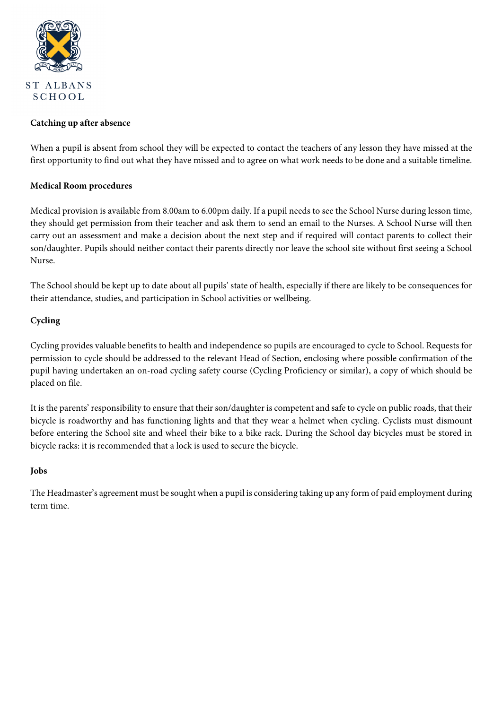

## **Catching up after absence**

When a pupil is absent from school they will be expected to contact the teachers of any lesson they have missed at the first opportunity to find out what they have missed and to agree on what work needs to be done and a suitable timeline.

# **Medical Room procedures**

Medical provision is available from 8.00am to 6.00pm daily. If a pupil needs to see the School Nurse during lesson time, they should get permission from their teacher and ask them to send an email to the Nurses. A School Nurse will then carry out an assessment and make a decision about the next step and if required will contact parents to collect their son/daughter. Pupils should neither contact their parents directly nor leave the school site without first seeing a School Nurse.

The School should be kept up to date about all pupils' state of health, especially if there are likely to be consequences for their attendance, studies, and participation in School activities or wellbeing.

# **Cycling**

Cycling provides valuable benefits to health and independence so pupils are encouraged to cycle to School. Requests for permission to cycle should be addressed to the relevant Head of Section, enclosing where possible confirmation of the pupil having undertaken an on-road cycling safety course (Cycling Proficiency or similar), a copy of which should be placed on file.

It is the parents' responsibility to ensure that their son/daughter is competent and safe to cycle on public roads, that their bicycle is roadworthy and has functioning lights and that they wear a helmet when cycling. Cyclists must dismount before entering the School site and wheel their bike to a bike rack. During the School day bicycles must be stored in bicycle racks: it is recommended that a lock is used to secure the bicycle.

#### **Jobs**

The Headmaster's agreement must be sought when a pupil is considering taking up any form of paid employment during term time.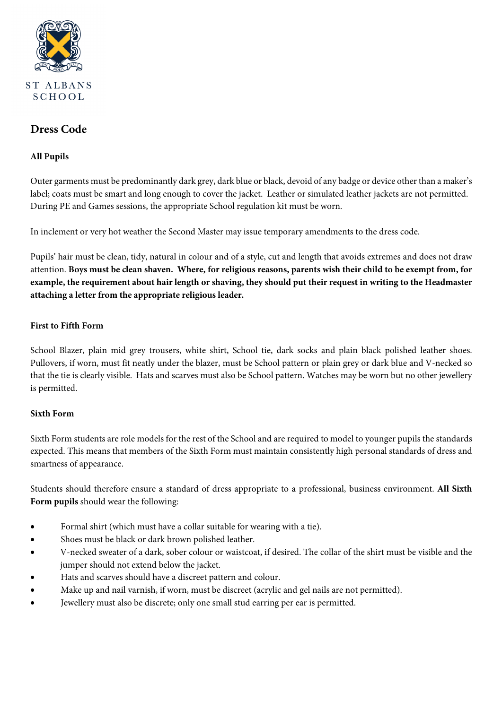

# **Dress Code**

# **All Pupils**

Outer garments must be predominantly dark grey, dark blue or black, devoid of any badge or device other than a maker's label; coats must be smart and long enough to cover the jacket. Leather or simulated leather jackets are not permitted. During PE and Games sessions, the appropriate School regulation kit must be worn.

In inclement or very hot weather the Second Master may issue temporary amendments to the dress code.

Pupils' hair must be clean, tidy, natural in colour and of a style, cut and length that avoids extremes and does not draw attention. **Boys must be clean shaven. Where, for religious reasons, parents wish their child to be exempt from, for example, the requirement about hair length or shaving, they should put their request in writing to the Headmaster attaching a letter from the appropriate religious leader.** 

#### **First to Fifth Form**

School Blazer, plain mid grey trousers, white shirt, School tie, dark socks and plain black polished leather shoes. Pullovers, if worn, must fit neatly under the blazer, must be School pattern or plain grey or dark blue and V-necked so that the tie is clearly visible. Hats and scarves must also be School pattern. Watches may be worn but no other jewellery is permitted.

#### **Sixth Form**

Sixth Form students are role models for the rest of the School and are required to model to younger pupils the standards expected. This means that members of the Sixth Form must maintain consistently high personal standards of dress and smartness of appearance.

Students should therefore ensure a standard of dress appropriate to a professional, business environment. **All Sixth Form pupils** should wear the following:

- Formal shirt (which must have a collar suitable for wearing with a tie).
- Shoes must be black or dark brown polished leather.
- V-necked sweater of a dark, sober colour or waistcoat, if desired. The collar of the shirt must be visible and the jumper should not extend below the jacket.
- Hats and scarves should have a discreet pattern and colour.
- Make up and nail varnish, if worn, must be discreet (acrylic and gel nails are not permitted).
- Jewellery must also be discrete; only one small stud earring per ear is permitted.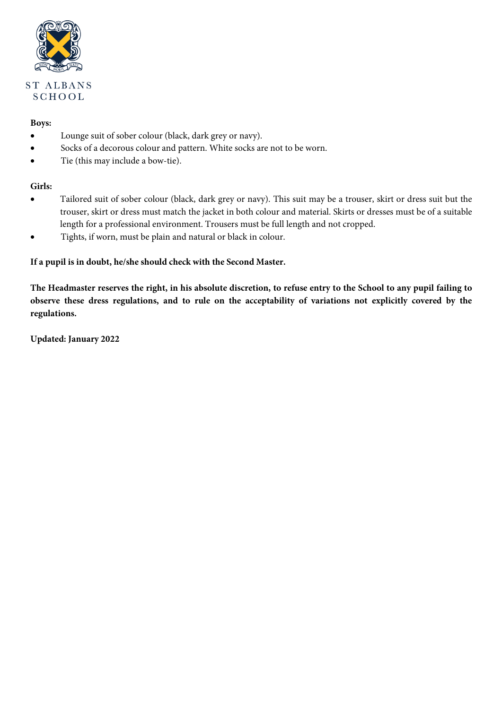

# **Boys:**

- Lounge suit of sober colour (black, dark grey or navy).
- Socks of a decorous colour and pattern. White socks are not to be worn.
- Tie (this may include a bow-tie).

# **Girls:**

- Tailored suit of sober colour (black, dark grey or navy). This suit may be a trouser, skirt or dress suit but the trouser, skirt or dress must match the jacket in both colour and material. Skirts or dresses must be of a suitable length for a professional environment. Trousers must be full length and not cropped.
- Tights, if worn, must be plain and natural or black in colour.

#### **If a pupil is in doubt, he/she should check with the Second Master.**

**The Headmaster reserves the right, in his absolute discretion, to refuse entry to the School to any pupil failing to observe these dress regulations, and to rule on the acceptability of variations not explicitly covered by the regulations.** 

**Updated: January 2022**